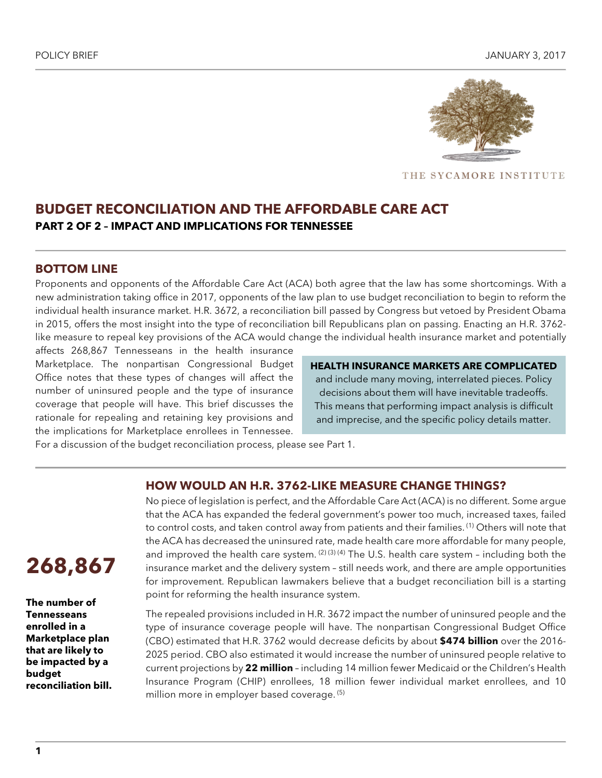

THE SYCAMORE INSTITUTE

# **BUDGET RECONCILIATION AND THE AFFORDABLE CARE ACT PART 2 OF 2 – IMPACT AND IMPLICATIONS FOR TENNESSEE**

#### **BOTTOM LINE**

Proponents and opponents of the Affordable Care Act (ACA) both agree that the law has some shortcomings. With a new administration taking office in 2017, opponents of the law plan to use budget reconciliation to begin to reform the individual health insurance market. H.R. 3672, a reconciliation bill passed by Congress but vetoed by President Obama in 2015, offers the most insight into the type of reconciliation bill Republicans plan on passing. Enacting an H.R. 3762 like measure to repeal key provisions of the ACA would change the individual health insurance market and potentially

affects 268,867 Tennesseans in the health insurance Marketplace. The nonpartisan Congressional Budget Office notes that these types of changes will affect the number of uninsured people and the type of insurance coverage that people will have. This brief discusses the rationale for repealing and retaining key provisions and the implications for Marketplace enrollees in Tennessee.

#### **HEALTH INSURANCE MARKETS ARE COMPLICATED**

and include many moving, interrelated pieces. Policy decisions about them will have inevitable tradeoffs. This means that performing impact analysis is difficult and imprecise, and the specific policy details matter.

For a discussion of the budget reconciliation process, please see Part 1.

### **HOW WOULD AN H.R. 3762-LIKE MEASURE CHANGE THINGS?**

No piece of legislation is perfect, and the Affordable Care Act (ACA) is no different. Some argue that the ACA has expanded the federal government's power too much, increased taxes, failed to control costs, and taken control away from patients and their families.<sup>(1)</sup> Others will note that the ACA has decreased the uninsured rate, made health care more affordable for many people, and improved the health care system.  $(2)(3)(4)$  The U.S. health care system - including both the insurance market and the delivery system – still needs work, and there are ample opportunities for improvement. Republican lawmakers believe that a budget reconciliation bill is a starting point for reforming the health insurance system.

#### **The number of Tennesseans enrolled in a Marketplace plan that are likely to be impacted by a budget reconciliation bill.**

**268,867**

The repealed provisions included in H.R. 3672 impact the number of uninsured people and the type of insurance coverage people will have. The nonpartisan Congressional Budget Office (CBO) estimated that H.R. 3762 would decrease deficits by about **\$474 billion** over the 2016- 2025 period. CBO also estimated it would increase the number of uninsured people relative to current projections by **22 million** – including 14 million fewer Medicaid or the Children's Health Insurance Program (CHIP) enrollees, 18 million fewer individual market enrollees, and 10 million more in employer based coverage. (5)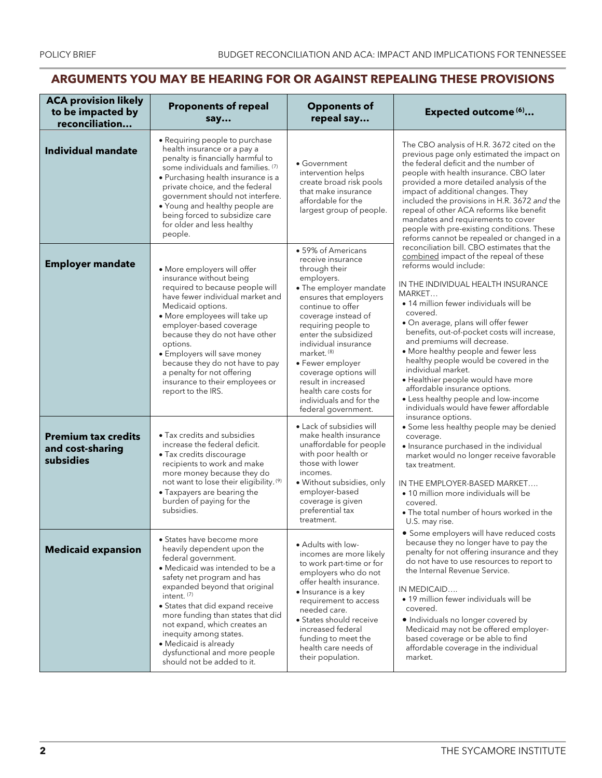## **ARGUMENTS YOU MAY BE HEARING FOR OR AGAINST REPEALING THESE PROVISIONS**

| <b>ACA provision likely</b><br>to be impacted by<br>reconciliation | <b>Proponents of repeal</b><br>say                                                                                                                                                                                                                                                                                                                                                                                           | <b>Opponents of</b><br>repeal say                                                                                                                                                                                                                                                                                                                                                                                      | Expected outcome <sup>(6)</sup>                                                                                                                                                                                                                                                                                                                                                                                                                                                                                                                                                                                                                                                                                                                                                                                                                                                                                                                                                                                                                                                                                                                                                                                                                                                                                                                                                                                                                            |
|--------------------------------------------------------------------|------------------------------------------------------------------------------------------------------------------------------------------------------------------------------------------------------------------------------------------------------------------------------------------------------------------------------------------------------------------------------------------------------------------------------|------------------------------------------------------------------------------------------------------------------------------------------------------------------------------------------------------------------------------------------------------------------------------------------------------------------------------------------------------------------------------------------------------------------------|------------------------------------------------------------------------------------------------------------------------------------------------------------------------------------------------------------------------------------------------------------------------------------------------------------------------------------------------------------------------------------------------------------------------------------------------------------------------------------------------------------------------------------------------------------------------------------------------------------------------------------------------------------------------------------------------------------------------------------------------------------------------------------------------------------------------------------------------------------------------------------------------------------------------------------------------------------------------------------------------------------------------------------------------------------------------------------------------------------------------------------------------------------------------------------------------------------------------------------------------------------------------------------------------------------------------------------------------------------------------------------------------------------------------------------------------------------|
| <b>Individual mandate</b>                                          | • Requiring people to purchase<br>health insurance or a pay a<br>penalty is financially harmful to<br>some individuals and families. (7)<br>· Purchasing health insurance is a<br>private choice, and the federal<br>government should not interfere.<br>. Young and healthy people are<br>being forced to subsidize care<br>for older and less healthy<br>people.                                                           | • Government<br>intervention helps<br>create broad risk pools<br>that make insurance<br>affordable for the<br>largest group of people.                                                                                                                                                                                                                                                                                 | The CBO analysis of H.R. 3672 cited on the<br>previous page only estimated the impact on<br>the federal deficit and the number of<br>people with health insurance. CBO later<br>provided a more detailed analysis of the<br>impact of additional changes. They<br>included the provisions in H.R. 3672 and the<br>repeal of other ACA reforms like benefit<br>mandates and requirements to cover<br>people with pre-existing conditions. These<br>reforms cannot be repealed or changed in a<br>reconciliation bill. CBO estimates that the<br>combined impact of the repeal of these<br>reforms would include:<br>IN THE INDIVIDUAL HEALTH INSURANCE<br>MARKET<br>• 14 million fewer individuals will be<br>covered.<br>· On average, plans will offer fewer<br>benefits, out-of-pocket costs will increase,<br>and premiums will decrease.<br>• More healthy people and fewer less<br>healthy people would be covered in the<br>individual market.<br>• Healthier people would have more<br>affordable insurance options.<br>• Less healthy people and low-income<br>individuals would have fewer affordable<br>insurance options.<br>• Some less healthy people may be denied<br>coverage.<br>• Insurance purchased in the individual<br>market would no longer receive favorable<br>tax treatment.<br>IN THE EMPLOYER-BASED MARKET<br>· 10 million more individuals will be<br>covered.<br>. The total number of hours worked in the<br>U.S. may rise. |
| <b>Employer mandate</b>                                            | • More employers will offer<br>insurance without being<br>required to because people will<br>have fewer individual market and<br>Medicaid options.<br>• More employees will take up<br>employer-based coverage<br>because they do not have other<br>options.<br>· Employers will save money<br>because they do not have to pay<br>a penalty for not offering<br>insurance to their employees or<br>report to the IRS.        | • 59% of Americans<br>receive insurance<br>through their<br>employers.<br>• The employer mandate<br>ensures that employers<br>continue to offer<br>coverage instead of<br>requiring people to<br>enter the subsidized<br>individual insurance<br>market. <sup>(8)</sup><br>• Fewer employer<br>coverage options will<br>result in increased<br>health care costs for<br>individuals and for the<br>federal government. |                                                                                                                                                                                                                                                                                                                                                                                                                                                                                                                                                                                                                                                                                                                                                                                                                                                                                                                                                                                                                                                                                                                                                                                                                                                                                                                                                                                                                                                            |
| <b>Premium tax credits</b><br>and cost-sharing<br>subsidies        | • Tax credits and subsidies<br>increase the federal deficit.<br>• Tax credits discourage<br>recipients to work and make<br>more money because they do<br>not want to lose their eligibility. <sup>(9)</sup><br>• Taxpayers are bearing the<br>burden of paying for the<br>subsidies.                                                                                                                                         | • Lack of subsidies will<br>make health insurance<br>unaffordable for people<br>with poor health or<br>those with lower<br>incomes.<br>· Without subsidies, only<br>employer-based<br>coverage is given<br>preferential tax<br>treatment.                                                                                                                                                                              |                                                                                                                                                                                                                                                                                                                                                                                                                                                                                                                                                                                                                                                                                                                                                                                                                                                                                                                                                                                                                                                                                                                                                                                                                                                                                                                                                                                                                                                            |
| <b>Medicaid expansion</b>                                          | • States have become more<br>heavily dependent upon the<br>federal government.<br>• Medicaid was intended to be a<br>safety net program and has<br>expanded beyond that original<br>intent. $(7)$<br>• States that did expand receive<br>more funding than states that did<br>not expand, which creates an<br>inequity among states.<br>• Medicaid is already<br>dysfunctional and more people<br>should not be added to it. | • Adults with low-<br>incomes are more likely<br>to work part-time or for<br>employers who do not<br>offer health insurance.<br>· Insurance is a key<br>requirement to access<br>needed care.<br>· States should receive<br>increased federal<br>funding to meet the<br>health care needs of<br>their population.                                                                                                      | · Some employers will have reduced costs<br>because they no longer have to pay the<br>penalty for not offering insurance and they<br>do not have to use resources to report to<br>the Internal Revenue Service.<br>IN MEDICAID<br>· 19 million fewer individuals will be<br>covered.<br>• Individuals no longer covered by<br>Medicaid may not be offered employer-<br>based coverage or be able to find<br>affordable coverage in the individual<br>market.                                                                                                                                                                                                                                                                                                                                                                                                                                                                                                                                                                                                                                                                                                                                                                                                                                                                                                                                                                                               |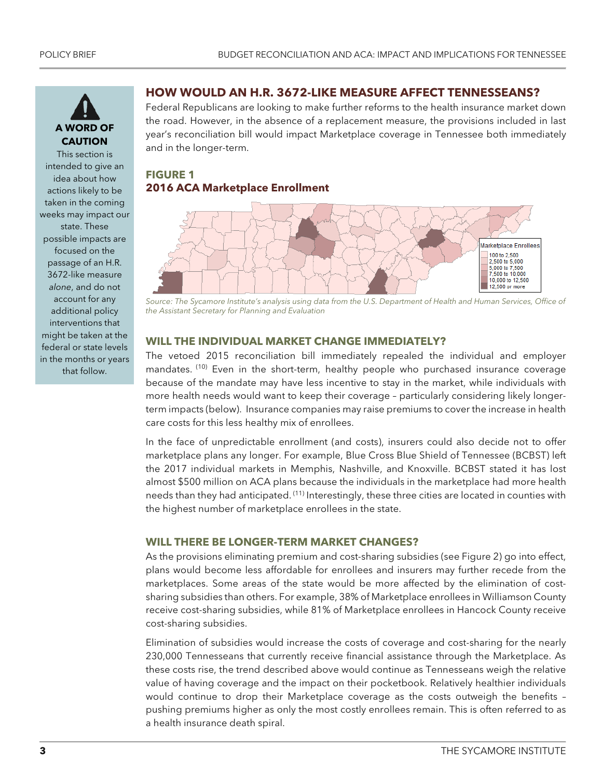

This section is intended to give an idea about how actions likely to be taken in the coming weeks may impact our state. These possible impacts are focused on the passage of an H.R. 3672-like measure *alone*, and do not account for any additional policy interventions that might be taken at the federal or state levels in the months or years that follow.

### **HOW WOULD AN H.R. 3672-LIKE MEASURE AFFECT TENNESSEANS?**

Federal Republicans are looking to make further reforms to the health insurance market down the road. However, in the absence of a replacement measure, the provisions included in last year's reconciliation bill would impact Marketplace coverage in Tennessee both immediately and in the longer-term.

## **FIGURE 1 2016 ACA Marketplace Enrollment**



Source: The Sycamore Institute's analysis using data from the U.S. Department of Health and Human Services, Office of *the Assistant Secretary for Planning and Evaluation*

#### **WILL THE INDIVIDUAL MARKET CHANGE IMMEDIATELY?**

The vetoed 2015 reconciliation bill immediately repealed the individual and employer mandates. (10) Even in the short-term, healthy people who purchased insurance coverage because of the mandate may have less incentive to stay in the market, while individuals with more health needs would want to keep their coverage – particularly considering likely longerterm impacts (below). Insurance companies may raise premiums to cover the increase in health care costs for this less healthy mix of enrollees.

In the face of unpredictable enrollment (and costs), insurers could also decide not to offer marketplace plans any longer. For example, Blue Cross Blue Shield of Tennessee (BCBST) left the 2017 individual markets in Memphis, Nashville, and Knoxville. BCBST stated it has lost almost \$500 million on ACA plans because the individuals in the marketplace had more health needs than they had anticipated. <sup>(11)</sup> Interestingly, these three cities are located in counties with the highest number of marketplace enrollees in the state.

#### **WILL THERE BE LONGER-TERM MARKET CHANGES?**

As the provisions eliminating premium and cost-sharing subsidies (see Figure 2) go into effect, plans would become less affordable for enrollees and insurers may further recede from the marketplaces. Some areas of the state would be more affected by the elimination of costsharing subsidies than others. For example, 38% of Marketplace enrollees in Williamson County receive cost-sharing subsidies, while 81% of Marketplace enrollees in Hancock County receive cost-sharing subsidies.

Elimination of subsidies would increase the costs of coverage and cost-sharing for the nearly 230,000 Tennesseans that currently receive financial assistance through the Marketplace. As these costs rise, the trend described above would continue as Tennesseans weigh the relative value of having coverage and the impact on their pocketbook. Relatively healthier individuals would continue to drop their Marketplace coverage as the costs outweigh the benefits – pushing premiums higher as only the most costly enrollees remain. This is often referred to as a health insurance death spiral.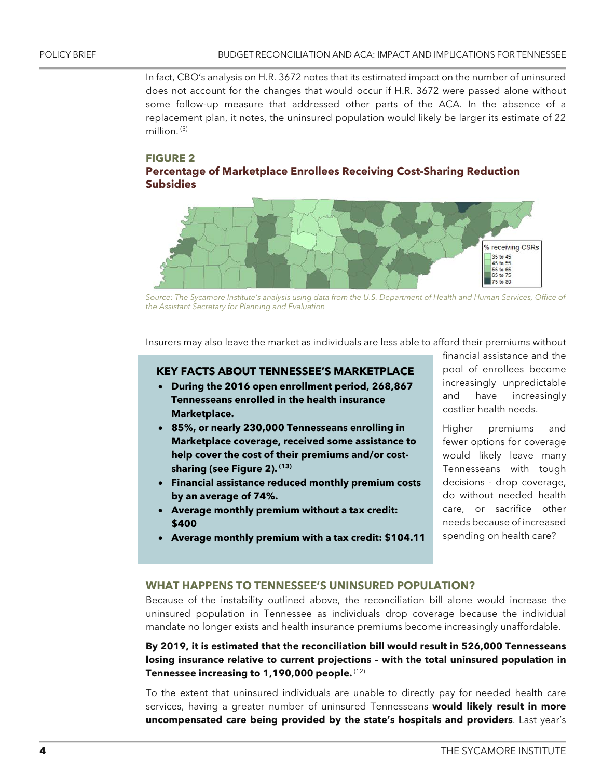In fact, CBO's analysis on H.R. 3672 notes that its estimated impact on the number of uninsured does not account for the changes that would occur if H.R. 3672 were passed alone without some follow-up measure that addressed other parts of the ACA. In the absence of a replacement plan, it notes, the uninsured population would likely be larger its estimate of 22 million $(5)$ 

#### **FIGURE 2 Percentage of Marketplace Enrollees Receiving Cost-Sharing Reduction Subsidies**



Source: The Sycamore Institute's analysis using data from the U.S. Department of Health and Human Services, Office of *the Assistant Secretary for Planning and Evaluation*

Insurers may also leave the market as individuals are less able to afford their premiums without

#### **KEY FACTS ABOUT TENNESSEE'S MARKETPLACE**

- **During the 2016 open enrollment period, 268,867 Tennesseans enrolled in the health insurance Marketplace.**
- **85%, or nearly 230,000 Tennesseans enrolling in Marketplace coverage, received some assistance to help cover the cost of their premiums and/or costsharing (see Figure 2). (13)**
- **Financial assistance reduced monthly premium costs by an average of 74%.**
- **Average monthly premium without a tax credit: \$400**
- **Average monthly premium with a tax credit: \$104.11**

financial assistance and the pool of enrollees become increasingly unpredictable and have increasingly costlier health needs.

Higher premiums and fewer options for coverage would likely leave many Tennesseans with tough decisions - drop coverage, do without needed health care, or sacrifice other needs because of increased spending on health care?

#### **WHAT HAPPENS TO TENNESSEE'S UNINSURED POPULATION?**

Because of the instability outlined above, the reconciliation bill alone would increase the uninsured population in Tennessee as individuals drop coverage because the individual mandate no longer exists and health insurance premiums become increasingly unaffordable.

#### **By 2019, it is estimated that the reconciliation bill would result in 526,000 Tennesseans losing insurance relative to current projections – with the total uninsured population in Tennessee increasing to 1,190,000 people.** (12)

To the extent that uninsured individuals are unable to directly pay for needed health care services, having a greater number of uninsured Tennesseans **would likely result in more uncompensated care being provided by the state's hospitals and providers**. Last year's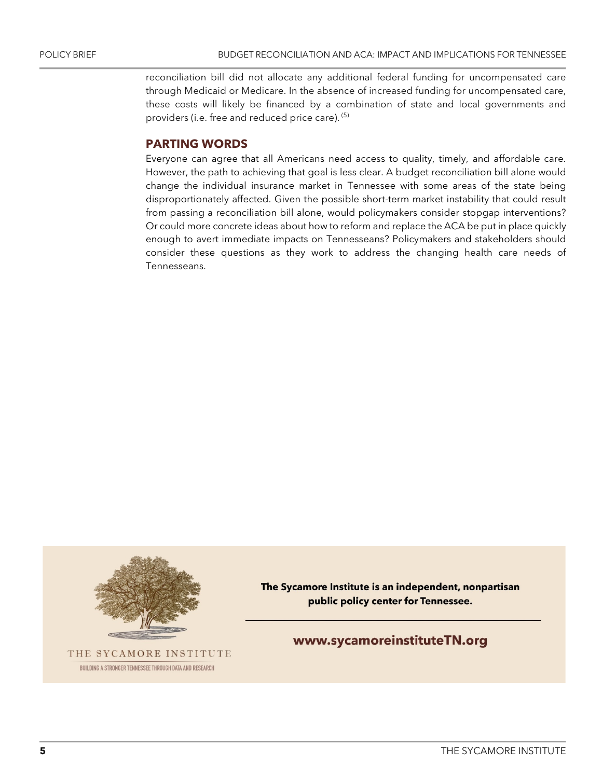reconciliation bill did not allocate any additional federal funding for uncompensated care through Medicaid or Medicare. In the absence of increased funding for uncompensated care, these costs will likely be financed by a combination of state and local governments and providers (i.e. free and reduced price care). (5)

#### **PARTING WORDS**

Everyone can agree that all Americans need access to quality, timely, and affordable care. However, the path to achieving that goal is less clear. A budget reconciliation bill alone would change the individual insurance market in Tennessee with some areas of the state being disproportionately affected. Given the possible short-term market instability that could result from passing a reconciliation bill alone, would policymakers consider stopgap interventions? Or could more concrete ideas about how to reform and replace the ACA be put in place quickly enough to avert immediate impacts on Tennesseans? Policymakers and stakeholders should consider these questions as they work to address the changing health care needs of Tennesseans.



THE SYCAMORE INSTITUTE BUILDING A STRONGER TENNESSEE THROUGH DATA AND RESEARCH

The Sycamore Institute is an independent, nonpartisan public policy center for Tennessee.

## www.sycamoreinstituteTN.org